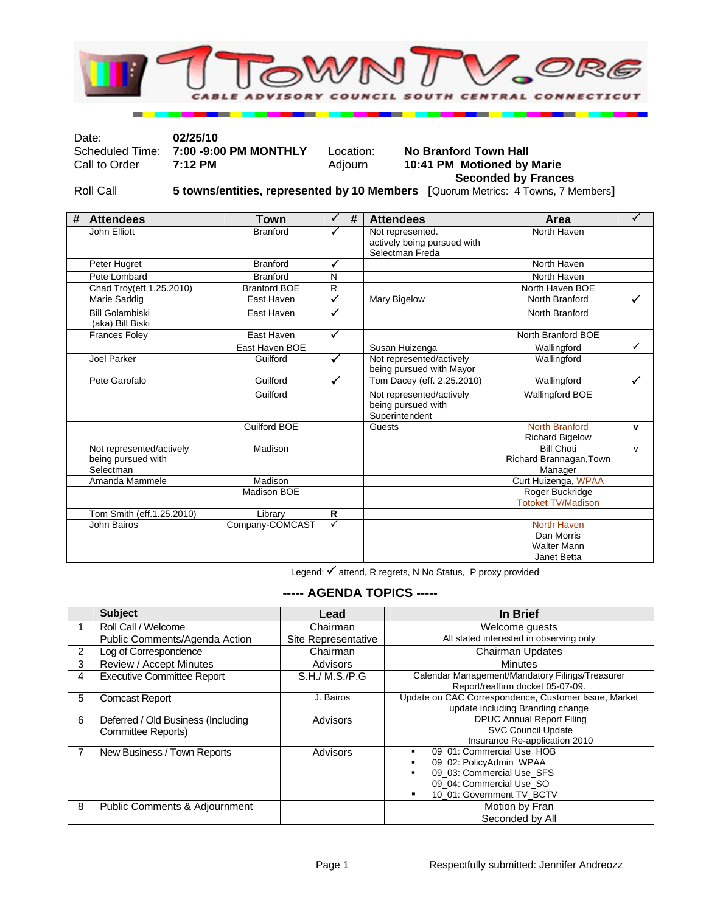

Date: **02/25/10** 

Scheduled Time: **7:00 -9:00 PM MONTHLY** Location: **No Branford Town Hall Call to Order 7:12 PM MONTHLY** Adjourn **10:41 PM** Motioned by

## 10:41 PM Motioned by Marie  **Seconded by Frances**

Roll Call **5 towns/entities, represented by 10 Members [**Quorum Metrics: 4 Towns, 7 Members**]** 

| # | <b>Attendees</b>                           | <b>Town</b>         |              | # | <b>Attendees</b>            | Area                      | ✓            |
|---|--------------------------------------------|---------------------|--------------|---|-----------------------------|---------------------------|--------------|
|   | John Elliott                               | <b>Branford</b>     | ✓            |   | Not represented.            | North Haven               |              |
|   |                                            |                     |              |   | actively being pursued with |                           |              |
|   |                                            |                     |              |   | Selectman Freda             |                           |              |
|   | Peter Hugret                               | <b>Branford</b>     | ✓            |   |                             | North Haven               |              |
|   | Pete Lombard                               | <b>Branford</b>     | N            |   |                             | North Haven               |              |
|   | Chad Troy(eff.1.25.2010)                   | <b>Branford BOE</b> | $\mathsf{R}$ |   |                             | North Haven BOE           |              |
|   | Marie Saddig                               | East Haven          | $\checkmark$ |   | Mary Bigelow                | North Branford            | ✓            |
|   | <b>Bill Golambiski</b><br>(aka) Bill Biski | East Haven          | $\checkmark$ |   |                             | North Branford            |              |
|   | <b>Frances Foley</b>                       | East Haven          | ✓            |   |                             | North Branford BOE        |              |
|   |                                            | East Haven BOE      |              |   | Susan Huizenga              | Wallingford               | $\checkmark$ |
|   | Joel Parker                                | Guilford            | ✓            |   | Not represented/actively    | Wallingford               |              |
|   |                                            |                     |              |   | being pursued with Mayor    |                           |              |
|   | Pete Garofalo                              | Guilford            | $\checkmark$ |   | Tom Dacey (eff. 2.25.2010)  | Wallingford               | $\checkmark$ |
|   |                                            | Guilford            |              |   | Not represented/actively    | Wallingford BOE           |              |
|   |                                            |                     |              |   | being pursued with          |                           |              |
|   |                                            |                     |              |   | Superintendent              |                           |              |
|   |                                            | <b>Guilford BOE</b> |              |   | Guests                      | <b>North Branford</b>     | $\mathbf v$  |
|   |                                            |                     |              |   |                             | <b>Richard Bigelow</b>    |              |
|   | Not represented/actively                   | Madison             |              |   |                             | <b>Bill Choti</b>         | $\mathsf{v}$ |
|   | being pursued with                         |                     |              |   |                             | Richard Brannagan, Town   |              |
|   | Selectman                                  |                     |              |   |                             | Manager                   |              |
|   | Amanda Mammele                             | Madison             |              |   |                             | Curt Huizenga, WPAA       |              |
|   |                                            | Madison BOE         |              |   |                             | Roger Buckridge           |              |
|   |                                            |                     |              |   |                             | <b>Totoket TV/Madison</b> |              |
|   | Tom Smith (eff.1.25.2010)                  | Library             | $\mathsf{R}$ |   |                             |                           |              |
|   | John Bairos                                | Company-COMCAST     | ✓            |   |                             | North Haven               |              |
|   |                                            |                     |              |   |                             | Dan Morris                |              |
|   |                                            |                     |              |   |                             | <b>Walter Mann</b>        |              |
|   |                                            |                     |              |   |                             | Janet Betta               |              |

Legend:  $\checkmark$  attend, R regrets, N No Status, P proxy provided

## **----- AGENDA TOPICS -----**

|                | <b>Subject</b>                                           | Lead                | In Brief                                                                                                                                        |
|----------------|----------------------------------------------------------|---------------------|-------------------------------------------------------------------------------------------------------------------------------------------------|
|                |                                                          |                     |                                                                                                                                                 |
|                | Roll Call / Welcome                                      | Chairman            | Welcome guests                                                                                                                                  |
|                | Public Comments/Agenda Action                            | Site Representative | All stated interested in observing only                                                                                                         |
| $\overline{2}$ | Log of Correspondence                                    | Chairman            | <b>Chairman Updates</b>                                                                                                                         |
| 3              | Review / Accept Minutes                                  | Advisors            | <b>Minutes</b>                                                                                                                                  |
| 4              | <b>Executive Committee Report</b>                        | S.H./ M.S./P.G      | Calendar Management/Mandatory Filings/Treasurer<br>Report/reaffirm docket 05-07-09.                                                             |
| 5              | <b>Comcast Report</b>                                    | J. Bairos           | Update on CAC Correspondence, Customer Issue, Market<br>update including Branding change                                                        |
| 6              | Deferred / Old Business (Including<br>Committee Reports) | Advisors            | <b>DPUC Annual Report Filing</b><br><b>SVC Council Update</b><br>Insurance Re-application 2010                                                  |
| $\overline{7}$ | New Business / Town Reports                              | Advisors            | 09 01: Commercial Use HOB<br>٠<br>09 02: PolicyAdmin WPAA<br>09 03: Commercial Use SFS<br>09 04: Commercial Use SO<br>10_01: Government TV_BCTV |
| 8              | <b>Public Comments &amp; Adjournment</b>                 |                     | Motion by Fran<br>Seconded by All                                                                                                               |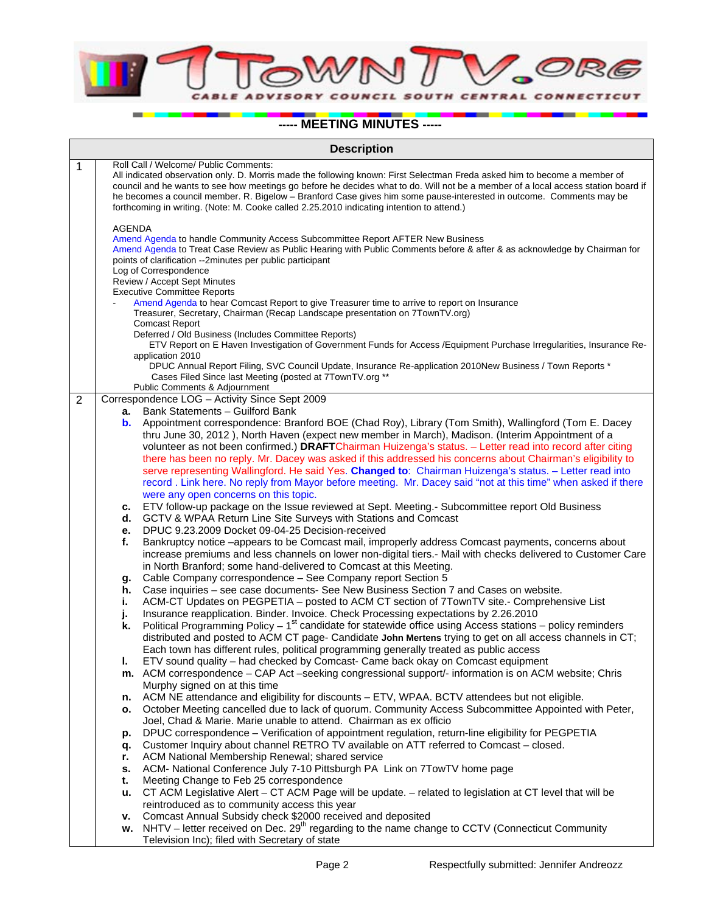ORG  $\eta$ OUTH CENTRAL CONNECTICUT A **DVISO** 

**----- MEETING MINUTES -----**

|                | <b>Description</b>                                                                                                                                                                                                                                                                                                                                                                                                                                                                                                          |                                                                                                                                                                                                                                            |  |  |  |
|----------------|-----------------------------------------------------------------------------------------------------------------------------------------------------------------------------------------------------------------------------------------------------------------------------------------------------------------------------------------------------------------------------------------------------------------------------------------------------------------------------------------------------------------------------|--------------------------------------------------------------------------------------------------------------------------------------------------------------------------------------------------------------------------------------------|--|--|--|
| 1              | Roll Call / Welcome/ Public Comments:<br>All indicated observation only. D. Morris made the following known: First Selectman Freda asked him to become a member of<br>council and he wants to see how meetings go before he decides what to do. Will not be a member of a local access station board if<br>he becomes a council member. R. Bigelow - Branford Case gives him some pause-interested in outcome. Comments may be<br>forthcoming in writing. (Note: M. Cooke called 2.25.2010 indicating intention to attend.) |                                                                                                                                                                                                                                            |  |  |  |
|                | <b>AGENDA</b><br>Amend Agenda to handle Community Access Subcommittee Report AFTER New Business<br>Amend Agenda to Treat Case Review as Public Hearing with Public Comments before & after & as acknowledge by Chairman for<br>points of clarification --2minutes per public participant<br>Log of Correspondence                                                                                                                                                                                                           |                                                                                                                                                                                                                                            |  |  |  |
|                |                                                                                                                                                                                                                                                                                                                                                                                                                                                                                                                             | Review / Accept Sept Minutes                                                                                                                                                                                                               |  |  |  |
|                |                                                                                                                                                                                                                                                                                                                                                                                                                                                                                                                             | <b>Executive Committee Reports</b><br>Amend Agenda to hear Comcast Report to give Treasurer time to arrive to report on Insurance<br>Treasurer, Secretary, Chairman (Recap Landscape presentation on 7TownTV.org)<br><b>Comcast Report</b> |  |  |  |
|                |                                                                                                                                                                                                                                                                                                                                                                                                                                                                                                                             | Deferred / Old Business (Includes Committee Reports)<br>ETV Report on E Haven Investigation of Government Funds for Access /Equipment Purchase Irregularities, Insurance Re-<br>application 2010                                           |  |  |  |
|                |                                                                                                                                                                                                                                                                                                                                                                                                                                                                                                                             | DPUC Annual Report Filing, SVC Council Update, Insurance Re-application 2010New Business / Town Reports *<br>Cases Filed Since last Meeting (posted at 7TownTV.org **                                                                      |  |  |  |
| $\overline{2}$ |                                                                                                                                                                                                                                                                                                                                                                                                                                                                                                                             | Public Comments & Adjournment<br>Correspondence LOG - Activity Since Sept 2009                                                                                                                                                             |  |  |  |
|                |                                                                                                                                                                                                                                                                                                                                                                                                                                                                                                                             | <b>a.</b> Bank Statements - Guilford Bank                                                                                                                                                                                                  |  |  |  |
|                |                                                                                                                                                                                                                                                                                                                                                                                                                                                                                                                             | b. Appointment correspondence: Branford BOE (Chad Roy), Library (Tom Smith), Wallingford (Tom E. Dacey                                                                                                                                     |  |  |  |
|                |                                                                                                                                                                                                                                                                                                                                                                                                                                                                                                                             | thru June 30, 2012), North Haven (expect new member in March), Madison. (Interim Appointment of a                                                                                                                                          |  |  |  |
|                |                                                                                                                                                                                                                                                                                                                                                                                                                                                                                                                             | volunteer as not been confirmed.) DRAFTChairman Huizenga's status. - Letter read into record after citing<br>there has been no reply. Mr. Dacey was asked if this addressed his concerns about Chairman's eligibility to                   |  |  |  |
|                |                                                                                                                                                                                                                                                                                                                                                                                                                                                                                                                             | serve representing Wallingford. He said Yes. Changed to: Chairman Huizenga's status. - Letter read into                                                                                                                                    |  |  |  |
|                |                                                                                                                                                                                                                                                                                                                                                                                                                                                                                                                             | record. Link here. No reply from Mayor before meeting. Mr. Dacey said "not at this time" when asked if there                                                                                                                               |  |  |  |
|                |                                                                                                                                                                                                                                                                                                                                                                                                                                                                                                                             | were any open concerns on this topic.                                                                                                                                                                                                      |  |  |  |
| с.             |                                                                                                                                                                                                                                                                                                                                                                                                                                                                                                                             | ETV follow-up package on the Issue reviewed at Sept. Meeting.- Subcommittee report Old Business                                                                                                                                            |  |  |  |
|                | d.                                                                                                                                                                                                                                                                                                                                                                                                                                                                                                                          | GCTV & WPAA Return Line Site Surveys with Stations and Comcast                                                                                                                                                                             |  |  |  |
|                | е.                                                                                                                                                                                                                                                                                                                                                                                                                                                                                                                          | DPUC 9.23.2009 Docket 09-04-25 Decision-received                                                                                                                                                                                           |  |  |  |
|                | f.                                                                                                                                                                                                                                                                                                                                                                                                                                                                                                                          | Bankruptcy notice -appears to be Comcast mail, improperly address Comcast payments, concerns about                                                                                                                                         |  |  |  |
|                |                                                                                                                                                                                                                                                                                                                                                                                                                                                                                                                             | increase premiums and less channels on lower non-digital tiers.- Mail with checks delivered to Customer Care                                                                                                                               |  |  |  |
|                |                                                                                                                                                                                                                                                                                                                                                                                                                                                                                                                             | in North Branford; some hand-delivered to Comcast at this Meeting.<br>Cable Company correspondence – See Company report Section 5                                                                                                          |  |  |  |
|                | g.<br>h.                                                                                                                                                                                                                                                                                                                                                                                                                                                                                                                    | Case inquiries - see case documents- See New Business Section 7 and Cases on website.                                                                                                                                                      |  |  |  |
|                | i.                                                                                                                                                                                                                                                                                                                                                                                                                                                                                                                          | ACM-CT Updates on PEGPETIA - posted to ACM CT section of 7TownTV site.- Comprehensive List                                                                                                                                                 |  |  |  |
|                | j.                                                                                                                                                                                                                                                                                                                                                                                                                                                                                                                          | Insurance reapplication. Binder. Invoice. Check Processing expectations by 2.26.2010                                                                                                                                                       |  |  |  |
|                | k.                                                                                                                                                                                                                                                                                                                                                                                                                                                                                                                          | Political Programming Policy $-1$ <sup>st</sup> candidate for statewide office using Access stations – policy reminders                                                                                                                    |  |  |  |
|                |                                                                                                                                                                                                                                                                                                                                                                                                                                                                                                                             | distributed and posted to ACM CT page- Candidate John Mertens trying to get on all access channels in CT;                                                                                                                                  |  |  |  |
|                |                                                                                                                                                                                                                                                                                                                                                                                                                                                                                                                             | Each town has different rules, political programming generally treated as public access                                                                                                                                                    |  |  |  |
|                | ı.                                                                                                                                                                                                                                                                                                                                                                                                                                                                                                                          | ETV sound quality - had checked by Comcast- Came back okay on Comcast equipment                                                                                                                                                            |  |  |  |
|                |                                                                                                                                                                                                                                                                                                                                                                                                                                                                                                                             | m. ACM correspondence - CAP Act -seeking congressional support/- information is on ACM website; Chris                                                                                                                                      |  |  |  |
|                |                                                                                                                                                                                                                                                                                                                                                                                                                                                                                                                             | Murphy signed on at this time<br>ACM NE attendance and eligibility for discounts - ETV, WPAA. BCTV attendees but not eligible.                                                                                                             |  |  |  |
|                | n.<br>о.                                                                                                                                                                                                                                                                                                                                                                                                                                                                                                                    | October Meeting cancelled due to lack of quorum. Community Access Subcommittee Appointed with Peter,                                                                                                                                       |  |  |  |
|                |                                                                                                                                                                                                                                                                                                                                                                                                                                                                                                                             | Joel, Chad & Marie. Marie unable to attend. Chairman as ex officio                                                                                                                                                                         |  |  |  |
|                | р.                                                                                                                                                                                                                                                                                                                                                                                                                                                                                                                          | DPUC correspondence - Verification of appointment regulation, return-line eligibility for PEGPETIA                                                                                                                                         |  |  |  |
|                | q.                                                                                                                                                                                                                                                                                                                                                                                                                                                                                                                          | Customer Inquiry about channel RETRO TV available on ATT referred to Comcast - closed.                                                                                                                                                     |  |  |  |
|                | r.                                                                                                                                                                                                                                                                                                                                                                                                                                                                                                                          | ACM National Membership Renewal; shared service                                                                                                                                                                                            |  |  |  |
|                | s.                                                                                                                                                                                                                                                                                                                                                                                                                                                                                                                          | ACM- National Conference July 7-10 Pittsburgh PA Link on 7TowTV home page                                                                                                                                                                  |  |  |  |
|                | t.                                                                                                                                                                                                                                                                                                                                                                                                                                                                                                                          | Meeting Change to Feb 25 correspondence                                                                                                                                                                                                    |  |  |  |
|                | u.                                                                                                                                                                                                                                                                                                                                                                                                                                                                                                                          | CT ACM Legislative Alert - CT ACM Page will be update. - related to legislation at CT level that will be<br>reintroduced as to community access this year                                                                                  |  |  |  |
|                | ۷.                                                                                                                                                                                                                                                                                                                                                                                                                                                                                                                          | Comcast Annual Subsidy check \$2000 received and deposited                                                                                                                                                                                 |  |  |  |
|                |                                                                                                                                                                                                                                                                                                                                                                                                                                                                                                                             | w. NHTV – letter received on Dec. 29 <sup>th</sup> regarding to the name change to CCTV (Connecticut Community                                                                                                                             |  |  |  |
|                |                                                                                                                                                                                                                                                                                                                                                                                                                                                                                                                             | Television Inc); filed with Secretary of state                                                                                                                                                                                             |  |  |  |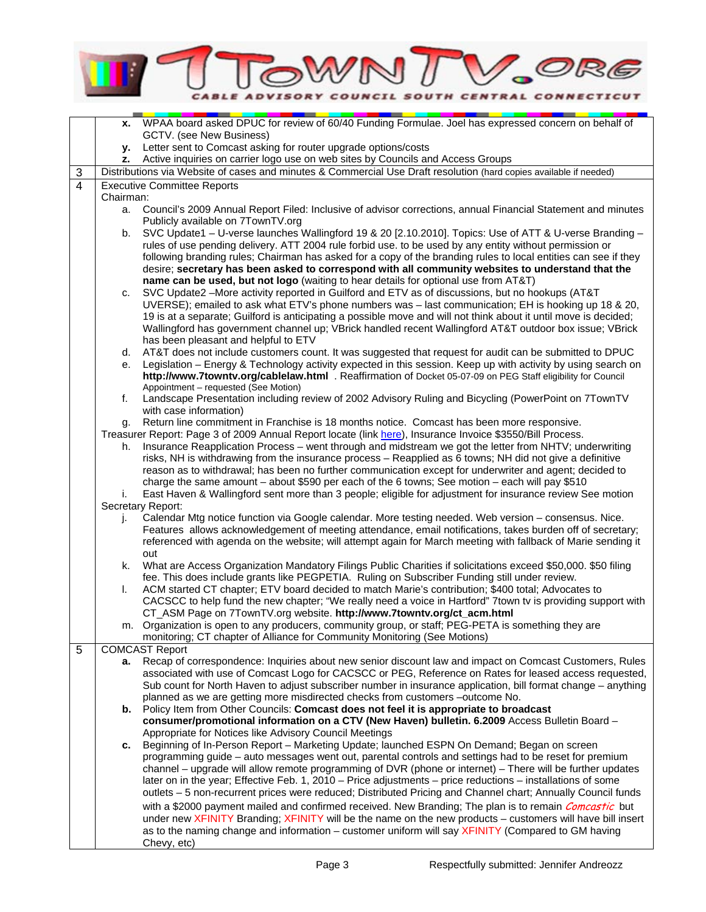

|                |           | x. WPAA board asked DPUC for review of 60/40 Funding Formulae. Joel has expressed concern on behalf of             |
|----------------|-----------|--------------------------------------------------------------------------------------------------------------------|
|                |           | GCTV. (see New Business)                                                                                           |
|                | у.        | Letter sent to Comcast asking for router upgrade options/costs                                                     |
|                |           | z. Active inquiries on carrier logo use on web sites by Councils and Access Groups                                 |
| 3              |           | Distributions via Website of cases and minutes & Commercial Use Draft resolution (hard copies available if needed) |
| $\overline{4}$ |           | <b>Executive Committee Reports</b>                                                                                 |
|                | Chairman: |                                                                                                                    |
|                | а.        | Council's 2009 Annual Report Filed: Inclusive of advisor corrections, annual Financial Statement and minutes       |
|                |           | Publicly available on 7TownTV.org                                                                                  |
|                | b.        | SVC Update1 - U-verse launches Wallingford 19 & 20 [2.10.2010]. Topics: Use of ATT & U-verse Branding -            |
|                |           | rules of use pending delivery. ATT 2004 rule forbid use. to be used by any entity without permission or            |
|                |           | following branding rules; Chairman has asked for a copy of the branding rules to local entities can see if they    |
|                |           | desire; secretary has been asked to correspond with all community websites to understand that the                  |
|                |           | name can be used, but not logo (waiting to hear details for optional use from AT&T)                                |
|                | c.        | SVC Update2 - More activity reported in Guilford and ETV as of discussions, but no hookups (AT&T                   |
|                |           | UVERSE); emailed to ask what ETV's phone numbers was - last communication; EH is hooking up 18 & 20,               |
|                |           | 19 is at a separate; Guilford is anticipating a possible move and will not think about it until move is decided;   |
|                |           | Wallingford has government channel up; VBrick handled recent Wallingford AT&T outdoor box issue; VBrick            |
|                |           | has been pleasant and helpful to ETV                                                                               |
|                | d.        | AT&T does not include customers count. It was suggested that request for audit can be submitted to DPUC            |
|                | е.        | Legislation – Energy & Technology activity expected in this session. Keep up with activity by using search on      |
|                |           | http://www.7towntv.org/cablelaw.html . Reaffirmation of Docket 05-07-09 on PEG Staff eligibility for Council       |
|                |           | Appointment - requested (See Motion)                                                                               |
|                | f.        | Landscape Presentation including review of 2002 Advisory Ruling and Bicycling (PowerPoint on 7TownTV               |
|                |           | with case information)                                                                                             |
|                | g.        | Return line commitment in Franchise is 18 months notice. Comcast has been more responsive.                         |
|                |           | Treasurer Report: Page 3 of 2009 Annual Report locate (link here), Insurance Invoice \$3550/Bill Process.          |
|                | h.        | Insurance Reapplication Process - went through and midstream we got the letter from NHTV; underwriting             |
|                |           | risks, NH is withdrawing from the insurance process - Reapplied as 6 towns; NH did not give a definitive           |
|                |           | reason as to withdrawal; has been no further communication except for underwriter and agent; decided to            |
|                |           | charge the same amount - about \$590 per each of the 6 towns; See motion - each will pay \$510                     |
|                | i.        | East Haven & Wallingford sent more than 3 people; eligible for adjustment for insurance review See motion          |
|                |           | Secretary Report:                                                                                                  |
|                | j.        | Calendar Mtg notice function via Google calendar. More testing needed. Web version - consensus. Nice.              |
|                |           | Features allows acknowledgement of meeting attendance, email notifications, takes burden off of secretary;         |
|                |           | referenced with agenda on the website; will attempt again for March meeting with fallback of Marie sending it      |
|                |           | out                                                                                                                |
|                | k.        | What are Access Organization Mandatory Filings Public Charities if solicitations exceed \$50,000. \$50 filing      |
|                |           | fee. This does include grants like PEGPETIA. Ruling on Subscriber Funding still under review.                      |
|                | I.        | ACM started CT chapter; ETV board decided to match Marie's contribution; \$400 total; Advocates to                 |
|                |           | CACSCC to help fund the new chapter; "We really need a voice in Hartford" 7town tv is providing support with       |
|                |           | CT_ASM Page on 7TownTV.org website. http://www.7towntv.org/ct_acm.html                                             |
|                |           | m. Organization is open to any producers, community group, or staff; PEG-PETA is something they are                |
|                |           | monitoring; CT chapter of Alliance for Community Monitoring (See Motions)                                          |
| 5              |           | <b>COMCAST Report</b>                                                                                              |
|                | а.        | Recap of correspondence: Inquiries about new senior discount law and impact on Comcast Customers, Rules            |
|                |           | associated with use of Comcast Logo for CACSCC or PEG, Reference on Rates for leased access requested,             |
|                |           | Sub count for North Haven to adjust subscriber number in insurance application, bill format change - anything      |
|                |           | planned as we are getting more misdirected checks from customers -outcome No.                                      |
|                |           | b. Policy Item from Other Councils: Comcast does not feel it is appropriate to broadcast                           |
|                |           | consumer/promotional information on a CTV (New Haven) bulletin. 6.2009 Access Bulletin Board -                     |
|                |           | Appropriate for Notices like Advisory Council Meetings                                                             |
|                | c.        | Beginning of In-Person Report - Marketing Update; launched ESPN On Demand; Began on screen                         |
|                |           | programming guide - auto messages went out, parental controls and settings had to be reset for premium             |
|                |           | channel - upgrade will allow remote programming of DVR (phone or internet) - There will be further updates         |
|                |           | later on in the year; Effective Feb. 1, 2010 - Price adjustments - price reductions - installations of some        |
|                |           | outlets - 5 non-recurrent prices were reduced; Distributed Pricing and Channel chart; Annually Council funds       |
|                |           |                                                                                                                    |
|                |           | with a \$2000 payment mailed and confirmed received. New Branding; The plan is to remain <i>Comcastic</i> but      |
|                |           | under new XFINITY Branding; XFINITY will be the name on the new products - customers will have bill insert         |
|                |           | as to the naming change and information - customer uniform will say XFINITY (Compared to GM having                 |
|                |           | Chevy, etc)                                                                                                        |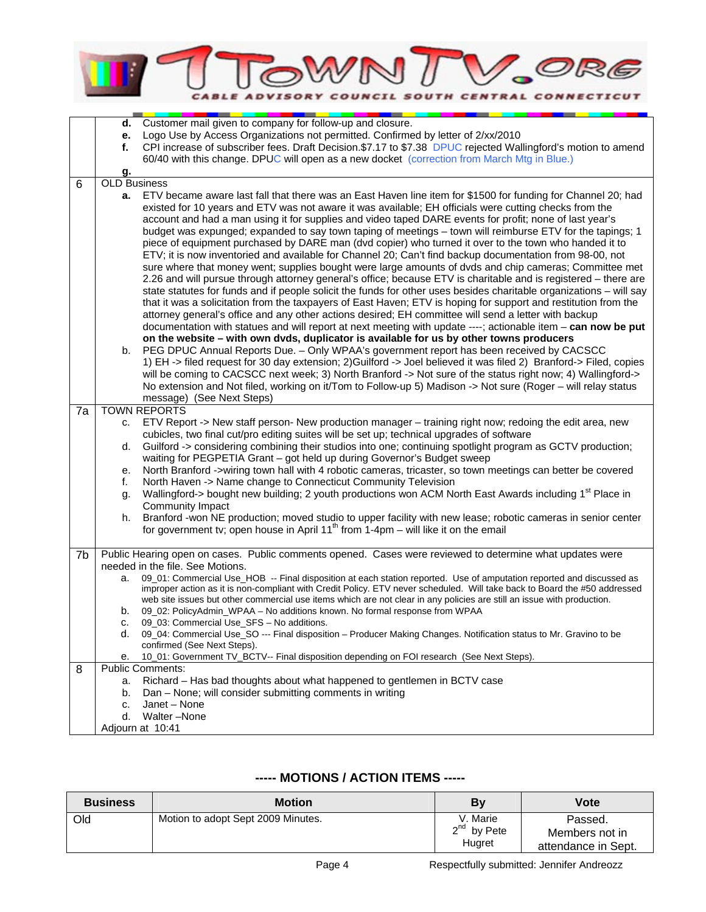

|    | d.                  | Customer mail given to company for follow-up and closure.                                                                                                                                            |
|----|---------------------|------------------------------------------------------------------------------------------------------------------------------------------------------------------------------------------------------|
|    | е.                  | Logo Use by Access Organizations not permitted. Confirmed by letter of 2/xx/2010                                                                                                                     |
|    | f.                  | CPI increase of subscriber fees. Draft Decision.\$7.17 to \$7.38 DPUC rejected Wallingford's motion to amend                                                                                         |
|    |                     | 60/40 with this change. DPUC will open as a new docket (correction from March Mtg in Blue.)                                                                                                          |
|    | g.                  |                                                                                                                                                                                                      |
| 6  | <b>OLD Business</b> |                                                                                                                                                                                                      |
|    | а.                  | ETV became aware last fall that there was an East Haven line item for \$1500 for funding for Channel 20; had                                                                                         |
|    |                     | existed for 10 years and ETV was not aware it was available; EH officials were cutting checks from the                                                                                               |
|    |                     | account and had a man using it for supplies and video taped DARE events for profit; none of last year's                                                                                              |
|    |                     | budget was expunged; expanded to say town taping of meetings - town will reimburse ETV for the tapings; 1                                                                                            |
|    |                     | piece of equipment purchased by DARE man (dvd copier) who turned it over to the town who handed it to                                                                                                |
|    |                     | ETV; it is now inventoried and available for Channel 20; Can't find backup documentation from 98-00, not                                                                                             |
|    |                     | sure where that money went; supplies bought were large amounts of dvds and chip cameras; Committee met                                                                                               |
|    |                     | 2.26 and will pursue through attorney general's office; because ETV is charitable and is registered - there are                                                                                      |
|    |                     | state statutes for funds and if people solicit the funds for other uses besides charitable organizations - will say                                                                                  |
|    |                     | that it was a solicitation from the taxpayers of East Haven; ETV is hoping for support and restitution from the                                                                                      |
|    |                     | attorney general's office and any other actions desired; EH committee will send a letter with backup                                                                                                 |
|    |                     | documentation with statues and will report at next meeting with update ----; actionable item - can now be put                                                                                        |
|    |                     | on the website - with own dvds, duplicator is available for us by other towns producers                                                                                                              |
|    | b.                  | PEG DPUC Annual Reports Due. - Only WPAA's government report has been received by CACSCC                                                                                                             |
|    |                     | 1) EH-> filed request for 30 day extension; 2) Guilford -> Joel believed it was filed 2) Branford-> Filed, copies                                                                                    |
|    |                     | will be coming to CACSCC next week; 3) North Branford -> Not sure of the status right now; 4) Wallingford->                                                                                          |
|    |                     | No extension and Not filed, working on it/Tom to Follow-up 5) Madison -> Not sure (Roger - will relay status<br>message) (See Next Steps)                                                            |
| 7a |                     | <b>TOWN REPORTS</b>                                                                                                                                                                                  |
|    | c.                  | ETV Report -> New staff person- New production manager - training right now; redoing the edit area, new                                                                                              |
|    |                     | cubicles, two final cut/pro editing suites will be set up; technical upgrades of software                                                                                                            |
|    | d.                  | Guilford -> considering combining their studios into one; continuing spotlight program as GCTV production;                                                                                           |
|    |                     | waiting for PEGPETIA Grant - got held up during Governor's Budget sweep                                                                                                                              |
|    | е.                  | North Branford ->wiring town hall with 4 robotic cameras, tricaster, so town meetings can better be covered                                                                                          |
|    | f.                  | North Haven -> Name change to Connecticut Community Television                                                                                                                                       |
|    | g.                  | Wallingford-> bought new building; 2 youth productions won ACM North East Awards including 1 <sup>st</sup> Place in                                                                                  |
|    |                     | Community Impact                                                                                                                                                                                     |
|    | h.                  | Branford -won NE production; moved studio to upper facility with new lease; robotic cameras in senior center                                                                                         |
|    |                     | for government tv; open house in April 11 <sup>th</sup> from 1-4pm – will like it on the email                                                                                                       |
|    |                     |                                                                                                                                                                                                      |
| 7b |                     | Public Hearing open on cases. Public comments opened. Cases were reviewed to determine what updates were                                                                                             |
|    |                     | needed in the file. See Motions.                                                                                                                                                                     |
|    | a.                  | 09_01: Commercial Use_HOB -- Final disposition at each station reported. Use of amputation reported and discussed as                                                                                 |
|    |                     | improper action as it is non-compliant with Credit Policy. ETV never scheduled. Will take back to Board the #50 addressed                                                                            |
|    | b.                  | web site issues but other commercial use items which are not clear in any policies are still an issue with production.<br>09_02: PolicyAdmin_WPAA - No additions known. No formal response from WPAA |
|    | c.                  | 09 03: Commercial Use SFS - No additions.                                                                                                                                                            |
|    | d.                  | 09_04: Commercial Use_SO --- Final disposition - Producer Making Changes. Notification status to Mr. Gravino to be                                                                                   |
|    |                     | confirmed (See Next Steps).                                                                                                                                                                          |
|    | е.                  | 10_01: Government TV_BCTV-- Final disposition depending on FOI research (See Next Steps).                                                                                                            |
| 8  |                     | <b>Public Comments:</b>                                                                                                                                                                              |
|    | a.                  | Richard - Has bad thoughts about what happened to gentlemen in BCTV case                                                                                                                             |
|    | b.                  | Dan - None; will consider submitting comments in writing                                                                                                                                             |
|    | c.                  | Janet - None                                                                                                                                                                                         |
|    | d.                  | Walter-None                                                                                                                                                                                          |
|    |                     | Adjourn at 10:41                                                                                                                                                                                     |
|    |                     |                                                                                                                                                                                                      |

## **----- MOTIONS / ACTION ITEMS -----**

| <b>Business</b> | <b>Motion</b>                      | By                                     | Vote                                             |
|-----------------|------------------------------------|----------------------------------------|--------------------------------------------------|
| Old             | Motion to adopt Sept 2009 Minutes. | V. Marie<br>$2^{nd}$ by Pete<br>Hugret | Passed.<br>Members not in<br>attendance in Sept. |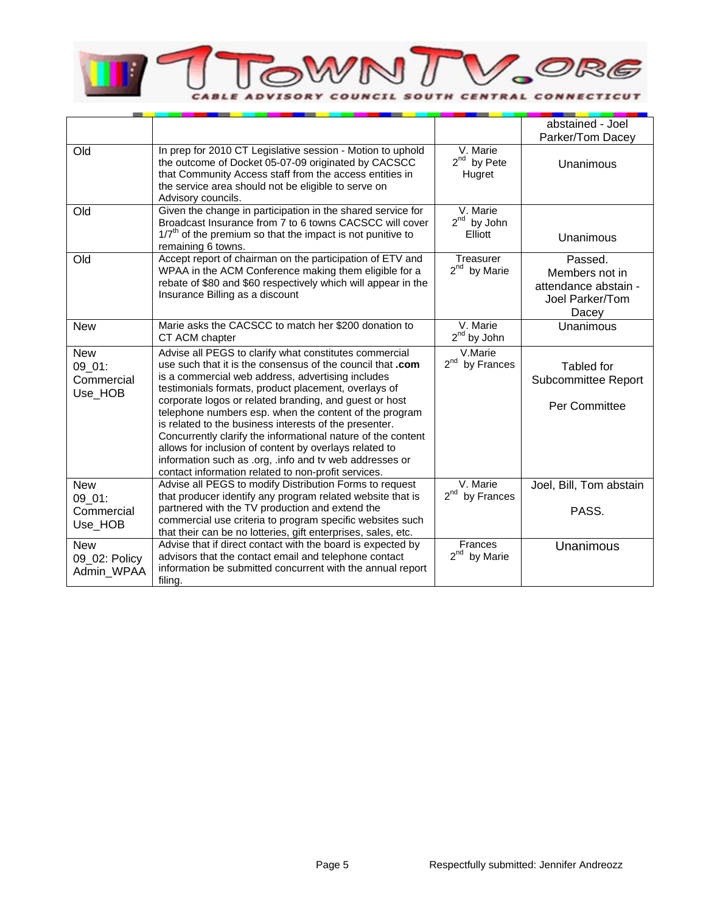

|                                               |                                                                                                                                                                                                                                                                                                                                                                                                                                                                                                                                                                                                                                                             |                                        | abstained - Joel<br>Parker/Tom Dacey                                          |
|-----------------------------------------------|-------------------------------------------------------------------------------------------------------------------------------------------------------------------------------------------------------------------------------------------------------------------------------------------------------------------------------------------------------------------------------------------------------------------------------------------------------------------------------------------------------------------------------------------------------------------------------------------------------------------------------------------------------------|----------------------------------------|-------------------------------------------------------------------------------|
| Old                                           | In prep for 2010 CT Legislative session - Motion to uphold<br>the outcome of Docket 05-07-09 originated by CACSCC<br>that Community Access staff from the access entities in<br>the service area should not be eligible to serve on<br>Advisory councils.                                                                                                                                                                                                                                                                                                                                                                                                   | V. Marie<br>$2^{nd}$ by Pete<br>Hugret | <b>Unanimous</b>                                                              |
| Old                                           | Given the change in participation in the shared service for<br>Broadcast Insurance from 7 to 6 towns CACSCC will cover<br>$1/7th$ of the premium so that the impact is not punitive to<br>remaining 6 towns.                                                                                                                                                                                                                                                                                                                                                                                                                                                | V. Marie<br>$2nd$ by John<br>Elliott   | Unanimous                                                                     |
| Old                                           | Accept report of chairman on the participation of ETV and<br>WPAA in the ACM Conference making them eligible for a<br>rebate of \$80 and \$60 respectively which will appear in the<br>Insurance Billing as a discount                                                                                                                                                                                                                                                                                                                                                                                                                                      | Treasurer<br>$2^{nd}$ by Marie         | Passed.<br>Members not in<br>attendance abstain -<br>Joel Parker/Tom<br>Dacey |
| <b>New</b>                                    | Marie asks the CACSCC to match her \$200 donation to<br>CT ACM chapter                                                                                                                                                                                                                                                                                                                                                                                                                                                                                                                                                                                      | V. Marie<br>$2nd$ by John              | Unanimous                                                                     |
| <b>New</b><br>09_01:<br>Commercial<br>Use_HOB | Advise all PEGS to clarify what constitutes commercial<br>use such that it is the consensus of the council that .com<br>is a commercial web address, advertising includes<br>testimonials formats, product placement, overlays of<br>corporate logos or related branding, and guest or host<br>telephone numbers esp. when the content of the program<br>is related to the business interests of the presenter.<br>Concurrently clarify the informational nature of the content<br>allows for inclusion of content by overlays related to<br>information such as .org, .info and tv web addresses or<br>contact information related to non-profit services. | V.Marie<br>$2^{nd}$ by Frances         | Tabled for<br>Subcommittee Report<br>Per Committee                            |
| <b>New</b><br>09 01:<br>Commercial<br>Use_HOB | Advise all PEGS to modify Distribution Forms to request<br>that producer identify any program related website that is<br>partnered with the TV production and extend the<br>commercial use criteria to program specific websites such<br>that their can be no lotteries, gift enterprises, sales, etc.                                                                                                                                                                                                                                                                                                                                                      | V. Marie<br>$2^{nd}$<br>by Frances     | Joel, Bill, Tom abstain<br>PASS.                                              |
| <b>New</b><br>09_02: Policy<br>Admin_WPAA     | Advise that if direct contact with the board is expected by<br>advisors that the contact email and telephone contact<br>information be submitted concurrent with the annual report<br>filing.                                                                                                                                                                                                                                                                                                                                                                                                                                                               | Frances<br>$2^{nd}$ by Marie           | <b>Unanimous</b>                                                              |